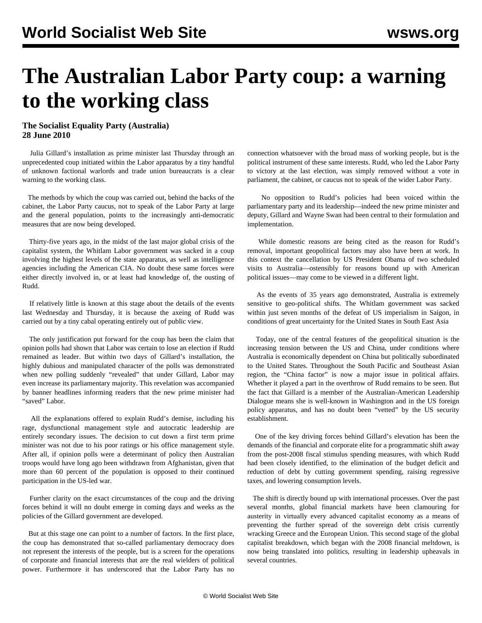## **The Australian Labor Party coup: a warning to the working class**

## **The Socialist Equality Party (Australia) 28 June 2010**

 Julia Gillard's installation as prime minister last Thursday through an unprecedented coup initiated within the Labor apparatus by a tiny handful of unknown factional warlords and trade union bureaucrats is a clear warning to the working class.

 The methods by which the coup was carried out, behind the backs of the cabinet, the Labor Party caucus, not to speak of the Labor Party at large and the general population, points to the increasingly anti-democratic measures that are now being developed.

 Thirty-five years ago, in the midst of the last major global crisis of the capitalist system, the Whitlam Labor government was sacked in a coup involving the highest levels of the state apparatus, as well as intelligence agencies including the American CIA. No doubt these same forces were either directly involved in, or at least had knowledge of, the ousting of Rudd.

 If relatively little is known at this stage about the details of the events last Wednesday and Thursday, it is because the axeing of Rudd was carried out by a tiny cabal operating entirely out of public view.

 The only justification put forward for the coup has been the claim that opinion polls had shown that Labor was certain to lose an election if Rudd remained as leader. But within two days of Gillard's installation, the highly dubious and manipulated character of the polls was demonstrated when new polling suddenly "revealed" that under Gillard, Labor may even increase its parliamentary majority. This revelation was accompanied by banner headlines informing readers that the new prime minister had "saved" Labor.

 All the explanations offered to explain Rudd's demise, including his rage, dysfunctional management style and autocratic leadership are entirely secondary issues. The decision to cut down a first term prime minister was not due to his poor ratings or his office management style. After all, if opinion polls were a determinant of policy then Australian troops would have long ago been withdrawn from Afghanistan, given that more than 60 percent of the population is opposed to their continued participation in the US-led war.

 Further clarity on the exact circumstances of the coup and the driving forces behind it will no doubt emerge in coming days and weeks as the policies of the Gillard government are developed.

 But at this stage one can point to a number of factors. In the first place, the coup has demonstrated that so-called parliamentary democracy does not represent the interests of the people, but is a screen for the operations of corporate and financial interests that are the real wielders of political power. Furthermore it has underscored that the Labor Party has no

connection whatsoever with the broad mass of working people, but is the political instrument of these same interests. Rudd, who led the Labor Party to victory at the last election, was simply removed without a vote in parliament, the cabinet, or caucus not to speak of the wider Labor Party.

 No opposition to Rudd's policies had been voiced within the parliamentary party and its leadership—indeed the new prime minister and deputy, Gillard and Wayne Swan had been central to their formulation and implementation.

 While domestic reasons are being cited as the reason for Rudd's removal, important geopolitical factors may also have been at work. In this context the cancellation by US President Obama of two scheduled visits to Australia—ostensibly for reasons bound up with American political issues—may come to be viewed in a different light.

 As the events of 35 years ago demonstrated, Australia is extremely sensitive to geo-political shifts. The Whitlam government was sacked within just seven months of the defeat of US imperialism in Saigon, in conditions of great uncertainty for the United States in South East Asia

 Today, one of the central features of the geopolitical situation is the increasing tension between the US and China, under conditions where Australia is economically dependent on China but politically subordinated to the United States. Throughout the South Pacific and Southeast Asian region, the "China factor" is now a major issue in political affairs. Whether it played a part in the overthrow of Rudd remains to be seen. But the fact that Gillard is a member of the Australian-American Leadership Dialogue means she is well-known in Washington and in the US foreign policy apparatus, and has no doubt been "vetted" by the US security establishment.

 One of the key driving forces behind Gillard's elevation has been the demands of the financial and corporate elite for a programmatic shift away from the post-2008 fiscal stimulus spending measures, with which Rudd had been closely identified, to the elimination of the budget deficit and reduction of debt by cutting government spending, raising regressive taxes, and lowering consumption levels.

 The shift is directly bound up with international processes. Over the past several months, global financial markets have been clamouring for austerity in virtually every advanced capitalist economy as a means of preventing the further spread of the sovereign debt crisis currently wracking Greece and the European Union. This second stage of the global capitalist breakdown, which began with the 2008 financial meltdown, is now being translated into politics, resulting in leadership upheavals in several countries.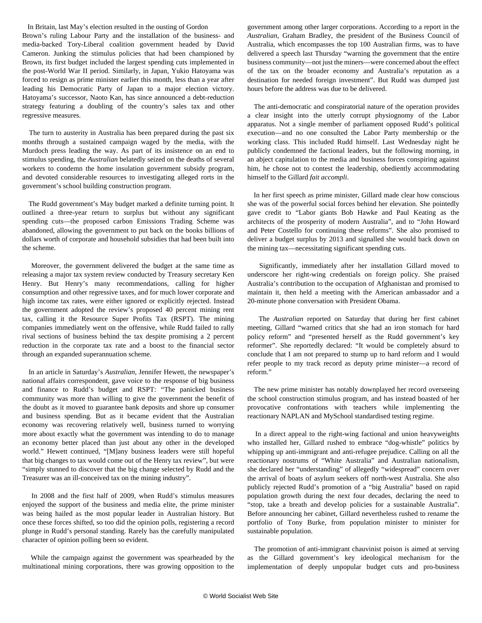In Britain, last May's election resulted in the ousting of Gordon Brown's ruling Labour Party and the installation of the business- and media-backed Tory-Liberal coalition government headed by David Cameron. Junking the stimulus policies that had been championed by Brown, its first budget included the largest spending cuts implemented in the post-World War II period. Similarly, in Japan, Yukio Hatoyama was forced to resign as prime minister earlier this month, less than a year after leading his Democratic Party of Japan to a major election victory. Hatoyama's successor, Naoto Kan, has since announced a debt-reduction strategy featuring a doubling of the country's sales tax and other regressive measures.

 The turn to austerity in Australia has been prepared during the past six months through a sustained campaign waged by the media, with the Murdoch press leading the way. As part of its insistence on an end to stimulus spending, the *Australian* belatedly seized on the deaths of several workers to condemn the home insulation government subsidy program, and devoted considerable resources to investigating alleged rorts in the government's school building construction program.

 The Rudd government's May budget marked a definite turning point. It outlined a three-year return to surplus but without any significant spending cuts—the proposed carbon Emissions Trading Scheme was abandoned, allowing the government to put back on the books billions of dollars worth of corporate and household subsidies that had been built into the scheme.

 Moreover, the government delivered the budget at the same time as releasing a major tax system review conducted by Treasury secretary Ken Henry. But Henry's many recommendations, calling for higher consumption and other regressive taxes, and for much lower corporate and high income tax rates, were either ignored or explicitly rejected. Instead the government adopted the review's proposed 40 percent mining rent tax, calling it the Resource Super Profits Tax (RSPT). The mining companies immediately went on the offensive, while Rudd failed to rally rival sections of business behind the tax despite promising a 2 percent reduction in the corporate tax rate and a boost to the financial sector through an expanded superannuation scheme.

 In an article in Saturday's *Australian*, Jennifer Hewett, the newspaper's national affairs correspondent, gave voice to the response of big business and finance to Rudd's budget and RSPT: "The panicked business community was more than willing to give the government the benefit of the doubt as it moved to guarantee bank deposits and shore up consumer and business spending. But as it became evident that the Australian economy was recovering relatively well, business turned to worrying more about exactly what the government was intending to do to manage an economy better placed than just about any other in the developed world." Hewett continued, "[M]any business leaders were still hopeful that big changes to tax would come out of the Henry tax review", but were "simply stunned to discover that the big change selected by Rudd and the Treasurer was an ill-conceived tax on the mining industry".

 In 2008 and the first half of 2009, when Rudd's stimulus measures enjoyed the support of the business and media elite, the prime minister was being hailed as the most popular leader in Australian history. But once these forces shifted, so too did the opinion polls, registering a record plunge in Rudd's personal standing. Rarely has the carefully manipulated character of opinion polling been so evident.

 While the campaign against the government was spearheaded by the multinational mining corporations, there was growing opposition to the government among other larger corporations. According to a report in the *Australian*, Graham Bradley, the president of the Business Council of Australia, which encompasses the top 100 Australian firms, was to have delivered a speech last Thursday "warning the government that the entire business community—not just the miners—were concerned about the effect of the tax on the broader economy and Australia's reputation as a destination for needed foreign investment". But Rudd was dumped just hours before the address was due to be delivered.

 The anti-democratic and conspiratorial nature of the operation provides a clear insight into the utterly corrupt physiognomy of the Labor apparatus. Not a single member of parliament opposed Rudd's political execution—and no one consulted the Labor Party membership or the working class. This included Rudd himself. Last Wednesday night he publicly condemned the factional leaders, but the following morning, in an abject capitulation to the media and business forces conspiring against him, he chose not to contest the leadership, obediently accommodating himself to the Gillard *fait accompli*.

 In her first speech as prime minister, Gillard made clear how conscious she was of the powerful social forces behind her elevation. She pointedly gave credit to "Labor giants Bob Hawke and Paul Keating as the architects of the prosperity of modern Australia", and to "John Howard and Peter Costello for continuing these reforms". She also promised to deliver a budget surplus by 2013 and signalled she would back down on the mining tax—necessitating significant spending cuts.

 Significantly, immediately after her installation Gillard moved to underscore her right-wing credentials on foreign policy. She praised Australia's contribution to the occupation of Afghanistan and promised to maintain it, then held a meeting with the American ambassador and a 20-minute phone conversation with President Obama.

 The *Australian* reported on Saturday that during her first cabinet meeting, Gillard "warned critics that she had an iron stomach for hard policy reform" and "presented herself as the Rudd government's key reformer". She reportedly declared: "It would be completely absurd to conclude that I am not prepared to stump up to hard reform and I would refer people to my track record as deputy prime minister—a record of reform."

 The new prime minister has notably downplayed her record overseeing the school construction stimulus program, and has instead boasted of her provocative confrontations with teachers while implementing the reactionary NAPLAN and MySchool standardised testing regime.

 In a direct appeal to the right-wing factional and union heavyweights who installed her, Gillard rushed to embrace "dog-whistle" politics by whipping up anti-immigrant and anti-refugee prejudice. Calling on all the reactionary nostrums of "White Australia" and Australian nationalism, she declared her "understanding" of allegedly "widespread" concern over the arrival of boats of asylum seekers off north-west Australia. She also publicly rejected Rudd's promotion of a "big Australia" based on rapid population growth during the next four decades, declaring the need to "stop, take a breath and develop policies for a sustainable Australia". Before announcing her cabinet, Gillard nevertheless rushed to rename the portfolio of Tony Burke, from population minister to minister for sustainable population.

 The promotion of anti-immigrant chauvinist poison is aimed at serving as the Gillard government's key ideological mechanism for the implementation of deeply unpopular budget cuts and pro-business